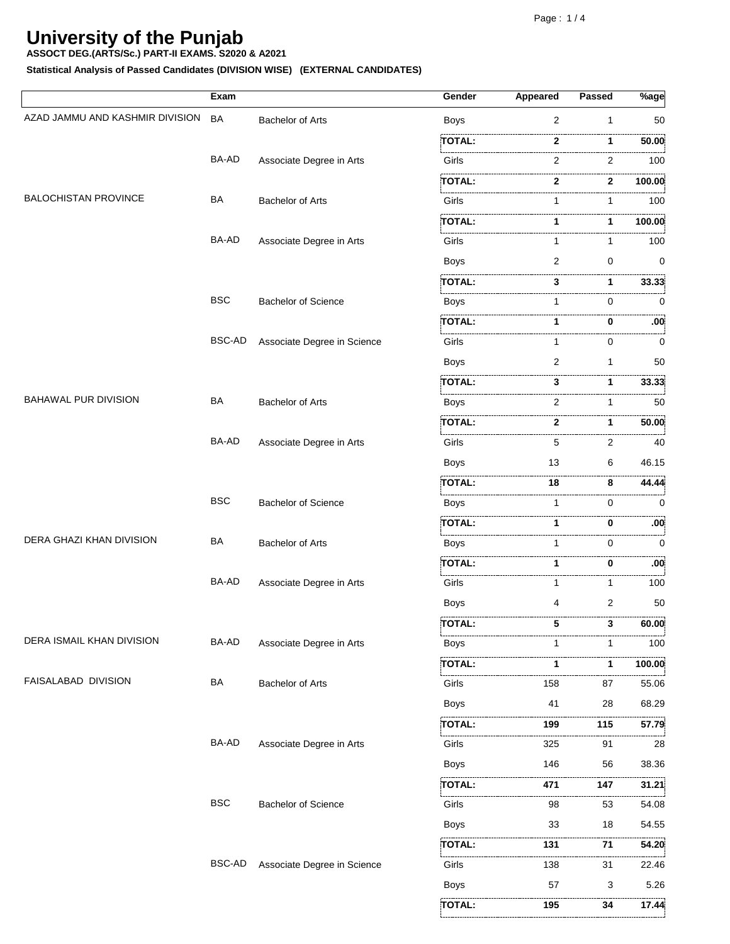**Statistical Analysis of Passed Candidates (DIVISION WISE) (EXTERNAL CANDIDATES)**

**195 195 194 17.4** 

|                                 | Exam          |                             | Gender        | <b>Appeared</b> | <b>Passed</b>  | $\sqrt[6]{8}$ age |
|---------------------------------|---------------|-----------------------------|---------------|-----------------|----------------|-------------------|
| AZAD JAMMU AND KASHMIR DIVISION | <b>BA</b>     | <b>Bachelor of Arts</b>     | <b>Boys</b>   | 2               | $\mathbf{1}$   | 50                |
|                                 |               |                             | TOTAL:        | 2               | 1              | 50.00             |
|                                 | BA-AD         | Associate Degree in Arts    | Girls         | 2               | .<br>2         | 100               |
|                                 |               |                             | TOTAL:        | 2               | .<br>2         | 100.00            |
| <b>BALOCHISTAN PROVINCE</b>     | BA            | <b>Bachelor of Arts</b>     | Girls         | 1               | 1              | 100               |
|                                 |               |                             | TOTAL:        |                 | 1              | 100.00            |
|                                 | BA-AD         | Associate Degree in Arts    | Girls         | 1               | 1              | 100               |
|                                 |               |                             | <b>Boys</b>   | $\overline{2}$  | 0              | 0                 |
|                                 |               |                             | TOTAL:        | 3               | 1              | 33.33             |
|                                 | <b>BSC</b>    | <b>Bachelor of Science</b>  | Boys          | 1               | 0              | .<br>$\mathbf 0$  |
|                                 |               |                             | TOTAL:        |                 | 0              | :00               |
|                                 | <b>BSC-AD</b> | Associate Degree in Science | Girls         | 1               | 0              | 0                 |
|                                 |               |                             | <b>Boys</b>   | 2               | $\mathbf{1}$   | 50                |
|                                 |               |                             | <b>TOTAL:</b> | 3               | 1              | 33.33             |
| BAHAWAL PUR DIVISION            | BA            | <b>Bachelor of Arts</b>     | Boys          | 2               | 1              | 50                |
|                                 |               |                             | TOTAL:        | 2               | 1              | 50.00             |
|                                 | BA-AD         | Associate Degree in Arts    | Girls         | 5               | .<br>2         | 40                |
|                                 |               |                             | <b>Boys</b>   | 13              | 6              | 46.15             |
|                                 |               |                             | <b>TOTAL:</b> | 18              | 8              | 44.44             |
|                                 | <b>BSC</b>    | <b>Bachelor of Science</b>  | Boys          | 1               | 0              | 0                 |
|                                 |               |                             | :TOTAL:       |                 | 0              | .00               |
| DERA GHAZI KHAN DIVISION        | BA            | <b>Bachelor of Arts</b>     | Boys          | 1               | 0              | $\mathbf 0$       |
|                                 |               |                             | <b>TOTAL:</b> | 1               | 0              | .00 <sub>i</sub>  |
|                                 | BA-AD         | Associate Degree in Arts    | Girls         | 1               | 1              | 100               |
|                                 |               |                             | <b>Boys</b>   | 4               | $\overline{2}$ | 50                |
|                                 |               |                             | TOTAL:        | 5               | 3              | 60.00             |
| DERA ISMAIL KHAN DIVISION       | BA-AD         | Associate Degree in Arts    | <b>Boys</b>   |                 | 1              | 100               |
|                                 |               |                             | TOTAL:        | 1               | 1              | .<br>100.00       |
| FAISALABAD DIVISION             | BA            | <b>Bachelor of Arts</b>     | Girls         | 158             | 87             | 55.06             |
|                                 |               |                             | <b>Boys</b>   | 41              | 28             | 68.29             |
|                                 |               |                             | <b>TOTAL:</b> | 199             | 115            | 57.79             |
|                                 | BA-AD         | Associate Degree in Arts    | Girls         | .<br>325        | 91             | .<br>28           |
|                                 |               |                             | <b>Boys</b>   | 146             | 56             | 38.36             |
|                                 |               |                             | <b>TOTAL:</b> | 471             | 147            | 31.21             |
|                                 | <b>BSC</b>    | <b>Bachelor of Science</b>  | Girls         | 98              | 53             | 54.08             |
|                                 |               |                             | <b>Boys</b>   | 33              | 18             | 54.55             |
|                                 |               |                             | :TOTAL:       | 131             | 71             | 54.20             |
|                                 | <b>BSC-AD</b> | Associate Degree in Science | Girls         | 138             | 31             | 22.46             |
|                                 |               |                             | <b>Boys</b>   | 57              | 3              | 5.26              |
|                                 |               |                             | TOTAL:        | 195             | 34             | 17.44             |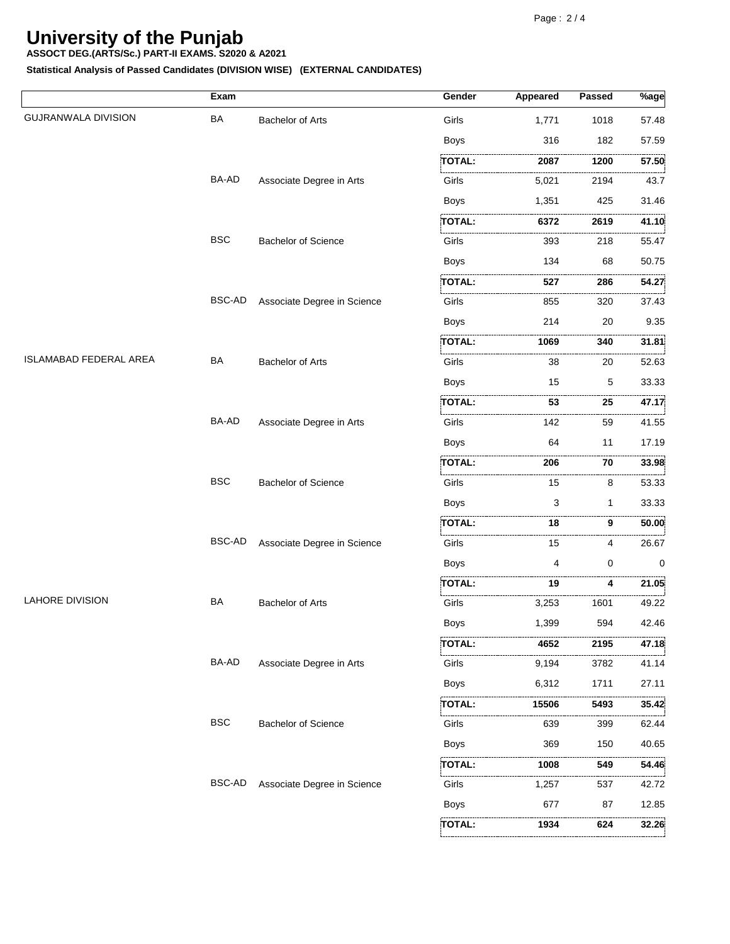**ASSOCT DEG.(ARTS/Sc.) PART-II EXAMS. S2020 & A2021**

**Statistical Analysis of Passed Candidates (DIVISION WISE) (EXTERNAL CANDIDATES)**

|                            | Exam          |                             | Gender        | Appeared | Passed   | $%$ age    |
|----------------------------|---------------|-----------------------------|---------------|----------|----------|------------|
| <b>GUJRANWALA DIVISION</b> | BA            | Bachelor of Arts            | Girls         | 1,771    | 1018     | 57.48      |
|                            |               |                             | <b>Boys</b>   | 316      | 182      | 57.59      |
|                            |               |                             | TOTAL:        | 2087     | 1200     | .<br>57.50 |
|                            | BA-AD         | Associate Degree in Arts    | Girls         | 5,021    | 2194     | 43.7       |
|                            |               |                             | Boys          | 1,351    | 425      | 31.46      |
|                            |               |                             | <b>TOTAL:</b> | 6372     | 2619     | 41.10      |
|                            | <b>BSC</b>    | <b>Bachelor of Science</b>  | Girls         | 393      | 218      | 55.47      |
|                            |               |                             | <b>Boys</b>   | 134      | 68       | 50.75      |
|                            |               |                             | TOTAL:        | .<br>527 | .<br>286 | 54.27      |
|                            | <b>BSC-AD</b> | Associate Degree in Science | Girls         | 855      | 320      | 37.43      |
|                            |               |                             | <b>Boys</b>   | 214      | 20       | 9.35       |
|                            |               |                             | TOTAL:        | 1069     | 340      | 31.81      |
| ISLAMABAD FEDERAL AREA     | <b>BA</b>     | <b>Bachelor of Arts</b>     | Girls         | 38       | 20       | 52.63      |
|                            |               |                             | <b>Boys</b>   | 15       | 5        | 33.33      |
|                            |               |                             | <b>TOTAL:</b> | 53       | 25       | .<br>47.17 |
|                            | BA-AD         | Associate Degree in Arts    | Girls         | 142      | 59       | 41.55      |
|                            |               |                             | <b>Boys</b>   | 64       | 11       | 17.19      |
|                            |               |                             | <b>TOTAL:</b> | 206      | 70       | 33.98      |
|                            | <b>BSC</b>    | Bachelor of Science         | Girls         | 15       | 8        | 53.33      |
|                            |               |                             | Boys          | 3        | 1        | 33.33      |
|                            |               |                             | <b>TOTAL:</b> | 18       | .<br>9   | 50.00      |
|                            | BSC-AD        | Associate Degree in Science | Girls         | 15       | 4        | 26.67      |
|                            |               |                             | <b>Boys</b>   | 4        | 0        | 0          |
|                            |               |                             | TOTAL:        | 19       | 4        | 21.05<br>. |
| <b>LAHORE DIVISION</b>     | BA            | <b>Bachelor of Arts</b>     | Girls         | 3,253    | 1601     | 49.22      |
|                            |               |                             | Boys          | 1,399    | 594      | 42.46      |
|                            |               |                             | TOTAL:        | 4652     | <br>2195 | .<br>47.18 |
|                            | BA-AD         | Associate Degree in Arts    | Girls         | 9,194    | 3782     | 41.14      |
|                            |               |                             | Boys          | 6,312    | 1711     | 27.11      |
|                            |               |                             | TOTAL:        | 15506    | 5493     | 35.42      |
|                            | <b>BSC</b>    | <b>Bachelor of Science</b>  | Girls         | 639      | 399      | 62.44      |
|                            |               |                             | <b>Boys</b>   | 369      | 150      | 40.65      |
|                            |               |                             | TOTAL:        | 1008     | .<br>549 | 54.46      |
|                            | <b>BSC-AD</b> | Associate Degree in Science | .<br>Girls    | 1,257    | 537      | 42.72      |
|                            |               |                             | <b>Boys</b>   | 677      | 87       | 12.85      |
|                            |               |                             | .<br>TOTAL:   | 1934     | 624      | 32.26      |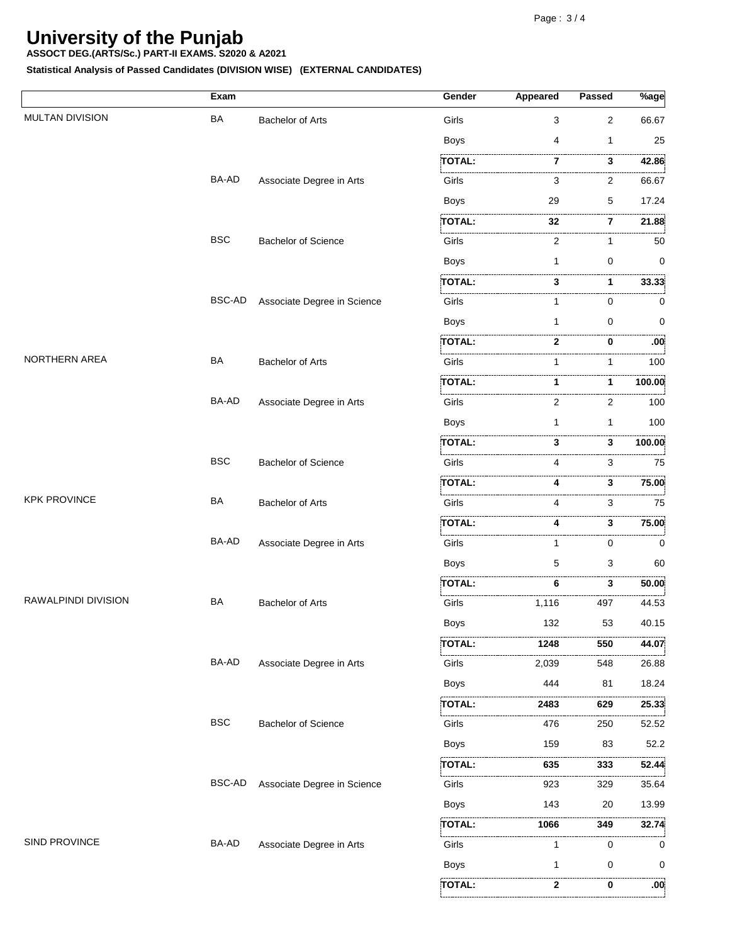**ASSOCT DEG.(ARTS/Sc.) PART-II EXAMS. S2020 & A2021**

**Statistical Analysis of Passed Candidates (DIVISION WISE) (EXTERNAL CANDIDATES)**

|                        | Exam          |                             | Gender        | <b>Appeared</b> | <b>Passed</b>       | $%$ age          |
|------------------------|---------------|-----------------------------|---------------|-----------------|---------------------|------------------|
| <b>MULTAN DIVISION</b> | BA            | <b>Bachelor of Arts</b>     | Girls         | 3               | 2                   | 66.67            |
|                        |               |                             | <b>Boys</b>   | 4               | 1                   | 25               |
|                        |               |                             | TOTAL:        | 7               | 3                   | 42.86            |
|                        | BA-AD         | Associate Degree in Arts    | Girls         | 3               | .<br>2              | 66.67            |
|                        |               |                             | <b>Boys</b>   | 29              | 5                   | 17.24            |
|                        |               |                             | <b>TOTAL:</b> | 32              | .<br>$\overline{7}$ | 21.88            |
|                        | <b>BSC</b>    | <b>Bachelor of Science</b>  | Girls         | 2               | $\mathbf{1}$        | 50               |
|                        |               |                             | <b>Boys</b>   | 1               | 0                   | 0                |
|                        |               |                             | <b>TOTAL:</b> | 3               | 1                   | 33.33            |
|                        | <b>BSC-AD</b> | Associate Degree in Science | Girls         | 1               | 0                   | 0                |
|                        |               |                             | <b>Boys</b>   | 1               | 0                   | 0                |
|                        |               |                             | TOTAL:        | 2               | 0                   | .00              |
| NORTHERN AREA          | BA            | <b>Bachelor of Arts</b>     | Girls         | 1               | 1                   | 100              |
|                        |               |                             | TOTAL:        | 1               | 1                   | 100.00           |
|                        | BA-AD         | Associate Degree in Arts    | Girls         | 2               | 2                   | 100              |
|                        |               |                             | <b>Boys</b>   | 1               | 1                   | 100              |
|                        |               |                             | <b>TOTAL:</b> | 3               | 3                   | 100.00           |
|                        | <b>BSC</b>    | <b>Bachelor of Science</b>  | Girls         | 4               | .<br>3              | .<br>75          |
|                        |               |                             | TOTAL:        |                 | .<br>3              | 75.00            |
| <b>KPK PROVINCE</b>    | BA            | <b>Bachelor of Arts</b>     | Girls         | 4               | 3                   | 75               |
|                        |               |                             | <b>TOTAL:</b> | 4               | .<br>3              | 75.00            |
|                        | BA-AD         | Associate Degree in Arts    | Girls         | 1               | 0                   | 0                |
|                        |               |                             | <b>Boys</b>   | 5               | 3                   | 60               |
|                        |               |                             | TOTAL:        | 6               | 3                   | 50.00            |
| RAWALPINDI DIVISION    | BA            | <b>Bachelor of Arts</b>     | Girls         | 1,116           | 497                 | 44.53            |
|                        |               |                             | <b>Boys</b>   | 132             | 53                  | 40.15            |
|                        |               |                             | <b>TOTAL:</b> | 1248            | 550                 | 44.07            |
|                        | BA-AD         | Associate Degree in Arts    | Girls         | 2,039           | 548                 | 26.88            |
|                        |               |                             | Boys          | 444             | 81                  | 18.24            |
|                        |               |                             | <b>TOTAL:</b> | 2483            | 629                 | .<br>25.33       |
|                        | <b>BSC</b>    | <b>Bachelor of Science</b>  | Girls         | 476             | 250                 | 52.52            |
|                        |               |                             | Boys          | 159             | 83                  | 52.2             |
|                        |               |                             | TOTAL:        | 635             | 333<br>.            | 52.44<br>.       |
|                        | <b>BSC-AD</b> | Associate Degree in Science | Girls         | 923             | 329                 | 35.64            |
|                        |               |                             | <b>Boys</b>   | 143             | 20                  | 13.99            |
|                        |               |                             | TOTAL:        | 1066            | 349                 | 32.74            |
| SIND PROVINCE          | BA-AD         | Associate Degree in Arts    | Girls         | 1               | 0                   | 0                |
|                        |               |                             | <b>Boys</b>   | 1               | 0                   | 0                |
|                        |               |                             | TOTAL:        | 2               | 0                   | .00 <sub>i</sub> |